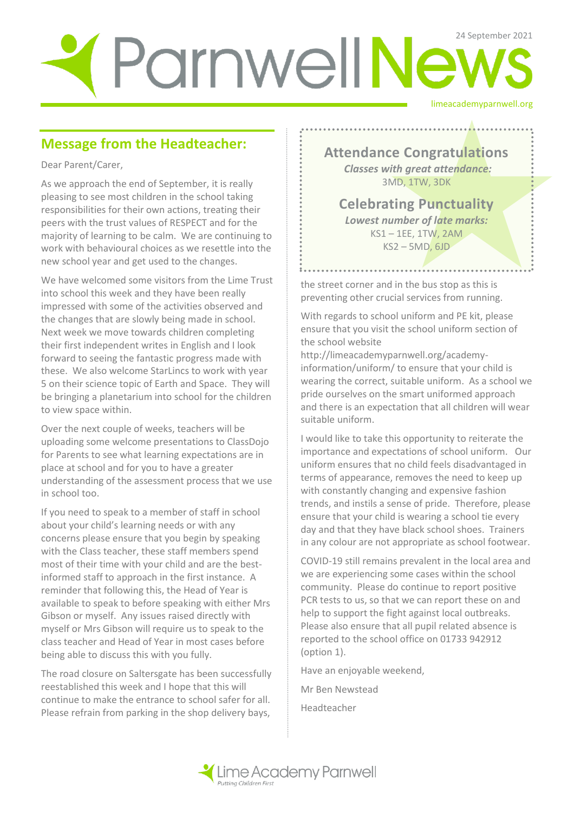# limeacademyparnwell.org ParnwellNews

#### **Message from the Headteacher:**

Dear Parent/Carer,

As we approach the end of September, it is really pleasing to see most children in the school taking responsibilities for their own actions, treating their peers with the trust values of RESPECT and for the majority of learning to be calm. We are continuing to work with behavioural choices as we resettle into the new school year and get used to the changes.

We have welcomed some visitors from the Lime Trust into school this week and they have been really impressed with some of the activities observed and the changes that are slowly being made in school. Next week we move towards children completing their first independent writes in English and I look forward to seeing the fantastic progress made with these. We also welcome StarLincs to work with year 5 on their science topic of Earth and Space. They will be bringing a planetarium into school for the children to view space within.

Over the next couple of weeks, teachers will be uploading some welcome presentations to ClassDojo for Parents to see what learning expectations are in place at school and for you to have a greater understanding of the assessment process that we use in school too.

If you need to speak to a member of staff in school about your child's learning needs or with any concerns please ensure that you begin by speaking with the Class teacher, these staff members spend most of their time with your child and are the bestinformed staff to approach in the first instance. A reminder that following this, the Head of Year is available to speak to before speaking with either Mrs Gibson or myself. Any issues raised directly with myself or Mrs Gibson will require us to speak to the class teacher and Head of Year in most cases before being able to discuss this with you fully.

The road closure on Saltersgate has been successfully reestablished this week and I hope that this will continue to make the entrance to school safer for all. Please refrain from parking in the shop delivery bays,

**Attendance Congratulations** *Classes with great attendance:* 3MD, 1TW, 3DK

**Celebrating Punctuality**  *Lowest number of late marks:*  KS1 – 1EE, 1TW, 2AM KS2 – 5MD, 6JD

the street corner and in the bus stop as this is preventing other crucial services from running.

With regards to school uniform and PE kit, please ensure that you visit the school uniform section of the school website

http://limeacademyparnwell.org/academyinformation/uniform/ to ensure that your child is wearing the correct, suitable uniform. As a school we pride ourselves on the smart uniformed approach and there is an expectation that all children will wear suitable uniform.

I would like to take this opportunity to reiterate the importance and expectations of school uniform. Our uniform ensures that no child feels disadvantaged in terms of appearance, removes the need to keep up with constantly changing and expensive fashion trends, and instils a sense of pride. Therefore, please ensure that your child is wearing a school tie every day and that they have black school shoes. Trainers in any colour are not appropriate as school footwear.

COVID-19 still remains prevalent in the local area and we are experiencing some cases within the school community. Please do continue to report positive PCR tests to us, so that we can report these on and help to support the fight against local outbreaks. Please also ensure that all pupil related absence is reported to the school office on 01733 942912 (option 1).

Have an enjoyable weekend,

Mr Ben Newstead

Headteacher

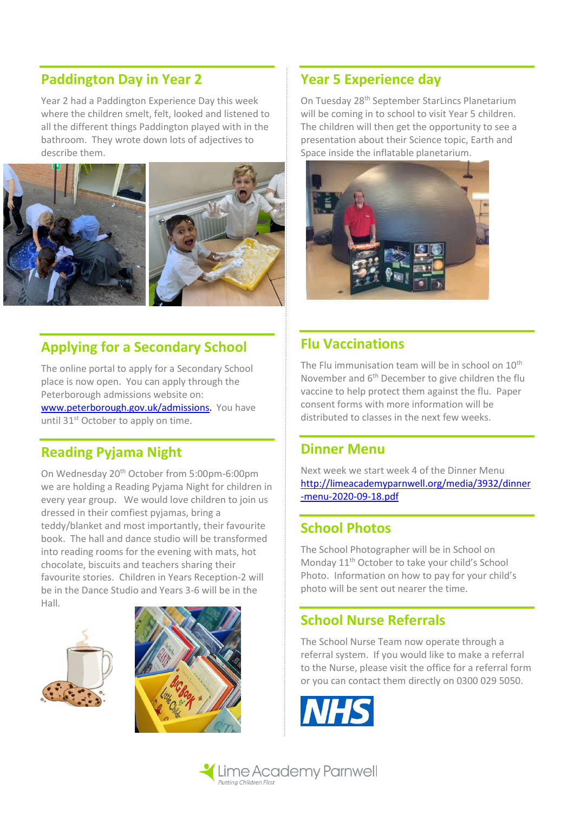#### **Paddington Day in Year 2**

Year 2 had a Paddington Experience Day this week where the children smelt, felt, looked and listened to all the different things Paddington played with in the bathroom. They wrote down lots of adjectives to describe them.



### **Applying for a Secondary School**

The online portal to apply for a Secondary School place is now open. You can apply through the Peterborough admissions website on: [www.peterborough.gov.uk/admissions](http://www.peterborough.gov.uk/admissions). You have until 31<sup>st</sup> October to apply on time.

#### **Reading Pyjama Night**

On Wednesday 20<sup>th</sup> October from 5:00pm-6:00pm we are holding a Reading Pyjama Night for children in every year group. We would love children to join us dressed in their comfiest pyjamas, bring a teddy/blanket and most importantly, their favourite book. The hall and dance studio will be transformed into reading rooms for the evening with mats, hot chocolate, biscuits and teachers sharing their favourite stories. Children in Years Reception-2 will be in the Dance Studio and Years 3-6 will be in the Hall.





#### **Year 5 Experience day**

On Tuesday 28th September StarLincs Planetarium will be coming in to school to visit Year 5 children. The children will then get the opportunity to see a presentation about their Science topic, Earth and Space inside the inflatable planetarium.



#### **Flu Vaccinations**

The Flu immunisation team will be in school on 10<sup>th</sup> November and 6th December to give children the flu vaccine to help protect them against the flu. Paper consent forms with more information will be distributed to classes in the next few weeks.

#### **Dinner Menu**

Next week we start week 4 of the Dinner Menu [http://limeacademyparnwell.org/media/3932/dinner](http://limeacademyparnwell.org/media/3932/dinner-menu-2020-09-18.pdf) [-menu-2020-09-18.pdf](http://limeacademyparnwell.org/media/3932/dinner-menu-2020-09-18.pdf)

#### **School Photos**

The School Photographer will be in School on Monday 11<sup>th</sup> October to take your child's School Photo. Information on how to pay for your child's photo will be sent out nearer the time.

#### **School Nurse Referrals**

The School Nurse Team now operate through a referral system. If you would like to make a referral to the Nurse, please visit the office for a referral form or you can contact them directly on 0300 029 5050.